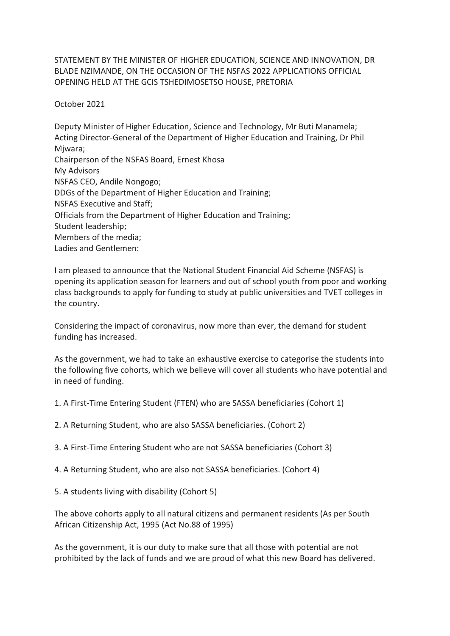STATEMENT BY THE MINISTER OF HIGHER EDUCATION, SCIENCE AND INNOVATION, DR BLADE NZIMANDE, ON THE OCCASION OF THE NSFAS 2022 APPLICATIONS OFFICIAL OPENING HELD AT THE GCIS TSHEDIMOSETSO HOUSE, PRETORIA

October 2021

Deputy Minister of Higher Education, Science and Technology, Mr Buti Manamela; Acting Director-General of the Department of Higher Education and Training, Dr Phil Miwara: Chairperson of the NSFAS Board, Ernest Khosa My Advisors NSFAS CEO, Andile Nongogo; DDGs of the Department of Higher Education and Training; NSFAS Executive and Staff; Officials from the Department of Higher Education and Training; Student leadership; Members of the media; Ladies and Gentlemen:

I am pleased to announce that the National Student Financial Aid Scheme (NSFAS) is opening its application season for learners and out of school youth from poor and working class backgrounds to apply for funding to study at public universities and TVET colleges in the country.

Considering the impact of coronavirus, now more than ever, the demand for student funding has increased.

As the government, we had to take an exhaustive exercise to categorise the students into the following five cohorts, which we believe will cover all students who have potential and in need of funding.

1. A First-Time Entering Student (FTEN) who are SASSA beneficiaries (Cohort 1)

2. A Returning Student, who are also SASSA beneficiaries. (Cohort 2)

3. A First-Time Entering Student who are not SASSA beneficiaries (Cohort 3)

4. A Returning Student, who are also not SASSA beneficiaries. (Cohort 4)

5. A students living with disability (Cohort 5)

The above cohorts apply to all natural citizens and permanent residents (As per South African Citizenship Act, 1995 (Act No.88 of 1995)

As the government, it is our duty to make sure that all those with potential are not prohibited by the lack of funds and we are proud of what this new Board has delivered.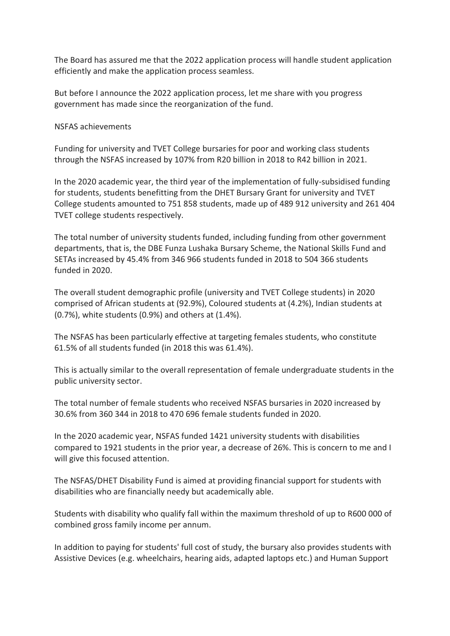The Board has assured me that the 2022 application process will handle student application efficiently and make the application process seamless.

But before I announce the 2022 application process, let me share with you progress government has made since the reorganization of the fund.

NSFAS achievements

Funding for university and TVET College bursaries for poor and working class students through the NSFAS increased by 107% from R20 billion in 2018 to R42 billion in 2021.

In the 2020 academic year, the third year of the implementation of fully-subsidised funding for students, students benefitting from the DHET Bursary Grant for university and TVET College students amounted to 751 858 students, made up of 489 912 university and 261 404 TVET college students respectively.

The total number of university students funded, including funding from other government departments, that is, the DBE Funza Lushaka Bursary Scheme, the National Skills Fund and SETAs increased by 45.4% from 346 966 students funded in 2018 to 504 366 students funded in 2020.

The overall student demographic profile (university and TVET College students) in 2020 comprised of African students at (92.9%), Coloured students at (4.2%), Indian students at (0.7%), white students (0.9%) and others at (1.4%).

The NSFAS has been particularly effective at targeting females students, who constitute 61.5% of all students funded (in 2018 this was 61.4%).

This is actually similar to the overall representation of female undergraduate students in the public university sector.

The total number of female students who received NSFAS bursaries in 2020 increased by 30.6% from 360 344 in 2018 to 470 696 female students funded in 2020.

In the 2020 academic year, NSFAS funded 1421 university students with disabilities compared to 1921 students in the prior year, a decrease of 26%. This is concern to me and I will give this focused attention.

The NSFAS/DHET Disability Fund is aimed at providing financial support for students with disabilities who are financially needy but academically able.

Students with disability who qualify fall within the maximum threshold of up to R600 000 of combined gross family income per annum.

In addition to paying for students' full cost of study, the bursary also provides students with Assistive Devices (e.g. wheelchairs, hearing aids, adapted laptops etc.) and Human Support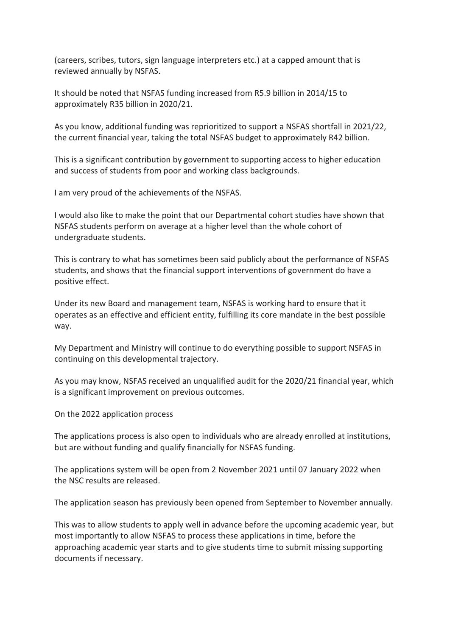(careers, scribes, tutors, sign language interpreters etc.) at a capped amount that is reviewed annually by NSFAS.

It should be noted that NSFAS funding increased from R5.9 billion in 2014/15 to approximately R35 billion in 2020/21.

As you know, additional funding was reprioritized to support a NSFAS shortfall in 2021/22, the current financial year, taking the total NSFAS budget to approximately R42 billion.

This is a significant contribution by government to supporting access to higher education and success of students from poor and working class backgrounds.

I am very proud of the achievements of the NSFAS.

I would also like to make the point that our Departmental cohort studies have shown that NSFAS students perform on average at a higher level than the whole cohort of undergraduate students.

This is contrary to what has sometimes been said publicly about the performance of NSFAS students, and shows that the financial support interventions of government do have a positive effect.

Under its new Board and management team, NSFAS is working hard to ensure that it operates as an effective and efficient entity, fulfilling its core mandate in the best possible way.

My Department and Ministry will continue to do everything possible to support NSFAS in continuing on this developmental trajectory.

As you may know, NSFAS received an unqualified audit for the 2020/21 financial year, which is a significant improvement on previous outcomes.

On the 2022 application process

The applications process is also open to individuals who are already enrolled at institutions, but are without funding and qualify financially for NSFAS funding.

The applications system will be open from 2 November 2021 until 07 January 2022 when the NSC results are released.

The application season has previously been opened from September to November annually.

This was to allow students to apply well in advance before the upcoming academic year, but most importantly to allow NSFAS to process these applications in time, before the approaching academic year starts and to give students time to submit missing supporting documents if necessary.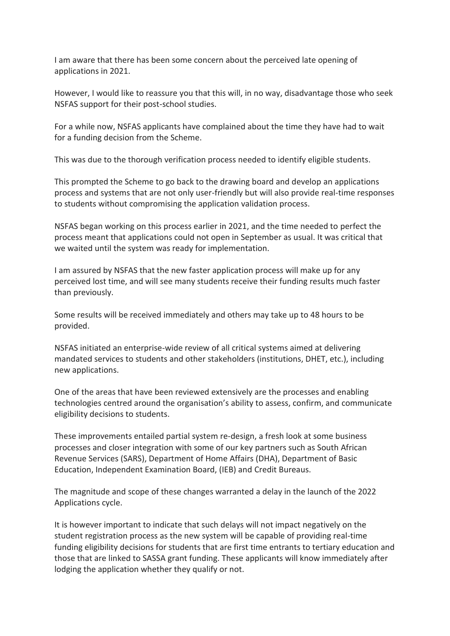I am aware that there has been some concern about the perceived late opening of applications in 2021.

However, I would like to reassure you that this will, in no way, disadvantage those who seek NSFAS support for their post-school studies.

For a while now, NSFAS applicants have complained about the time they have had to wait for a funding decision from the Scheme.

This was due to the thorough verification process needed to identify eligible students.

This prompted the Scheme to go back to the drawing board and develop an applications process and systems that are not only user-friendly but will also provide real-time responses to students without compromising the application validation process.

NSFAS began working on this process earlier in 2021, and the time needed to perfect the process meant that applications could not open in September as usual. It was critical that we waited until the system was ready for implementation.

I am assured by NSFAS that the new faster application process will make up for any perceived lost time, and will see many students receive their funding results much faster than previously.

Some results will be received immediately and others may take up to 48 hours to be provided.

NSFAS initiated an enterprise-wide review of all critical systems aimed at delivering mandated services to students and other stakeholders (institutions, DHET, etc.), including new applications.

One of the areas that have been reviewed extensively are the processes and enabling technologies centred around the organisation's ability to assess, confirm, and communicate eligibility decisions to students.

These improvements entailed partial system re-design, a fresh look at some business processes and closer integration with some of our key partners such as South African Revenue Services (SARS), Department of Home Affairs (DHA), Department of Basic Education, Independent Examination Board, (IEB) and Credit Bureaus.

The magnitude and scope of these changes warranted a delay in the launch of the 2022 Applications cycle.

It is however important to indicate that such delays will not impact negatively on the student registration process as the new system will be capable of providing real-time funding eligibility decisions for students that are first time entrants to tertiary education and those that are linked to SASSA grant funding. These applicants will know immediately after lodging the application whether they qualify or not.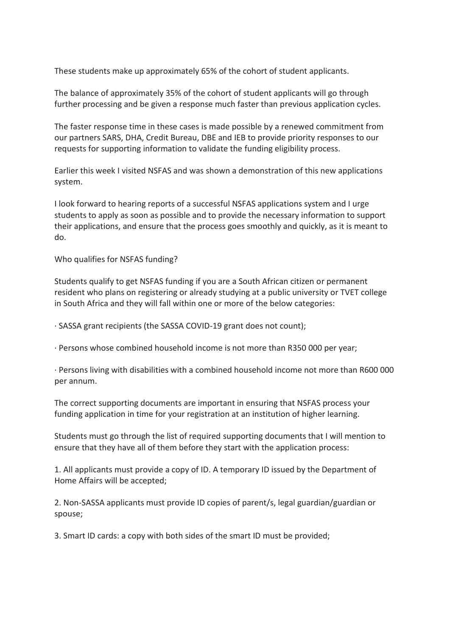These students make up approximately 65% of the cohort of student applicants.

The balance of approximately 35% of the cohort of student applicants will go through further processing and be given a response much faster than previous application cycles.

The faster response time in these cases is made possible by a renewed commitment from our partners SARS, DHA, Credit Bureau, DBE and IEB to provide priority responses to our requests for supporting information to validate the funding eligibility process.

Earlier this week I visited NSFAS and was shown a demonstration of this new applications system.

I look forward to hearing reports of a successful NSFAS applications system and I urge students to apply as soon as possible and to provide the necessary information to support their applications, and ensure that the process goes smoothly and quickly, as it is meant to do.

Who qualifies for NSFAS funding?

Students qualify to get NSFAS funding if you are a South African citizen or permanent resident who plans on registering or already studying at a public university or TVET college in South Africa and they will fall within one or more of the below categories:

· SASSA grant recipients (the SASSA COVID-19 grant does not count);

· Persons whose combined household income is not more than R350 000 per year;

· Persons living with disabilities with a combined household income not more than R600 000 per annum.

The correct supporting documents are important in ensuring that NSFAS process your funding application in time for your registration at an institution of higher learning.

Students must go through the list of required supporting documents that I will mention to ensure that they have all of them before they start with the application process:

1. All applicants must provide a copy of ID. A temporary ID issued by the Department of Home Affairs will be accepted;

2. Non-SASSA applicants must provide ID copies of parent/s, legal guardian/guardian or spouse;

3. Smart ID cards: a copy with both sides of the smart ID must be provided;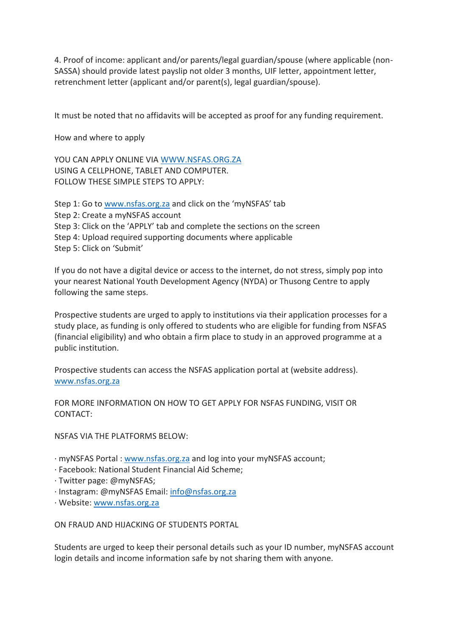4. Proof of income: applicant and/or parents/legal guardian/spouse (where applicable (non-SASSA) should provide latest payslip not older 3 months, UIF letter, appointment letter, retrenchment letter (applicant and/or parent(s), legal guardian/spouse).

It must be noted that no affidavits will be accepted as proof for any funding requirement.

How and where to apply

YOU CAN APPLY ONLINE VIA [WWW.NSFAS.ORG.ZA](http://www.nsfas.org.za/) USING A CELLPHONE, TABLET AND COMPUTER. FOLLOW THESE SIMPLE STEPS TO APPLY:

Step 1: Go to [www.nsfas.org.za](http://www.nsfas.org.za/) and click on the 'myNSFAS' tab Step 2: Create a myNSFAS account Step 3: Click on the 'APPLY' tab and complete the sections on the screen Step 4: Upload required supporting documents where applicable Step 5: Click on 'Submit'

If you do not have a digital device or access to the internet, do not stress, simply pop into your nearest National Youth Development Agency (NYDA) or Thusong Centre to apply following the same steps.

Prospective students are urged to apply to institutions via their application processes for a study place, as funding is only offered to students who are eligible for funding from NSFAS (financial eligibility) and who obtain a firm place to study in an approved programme at a public institution.

Prospective students can access the NSFAS application portal at (website address). [www.nsfas.org.za](http://www.nsfas.org.za/)

FOR MORE INFORMATION ON HOW TO GET APPLY FOR NSFAS FUNDING, VISIT OR CONTACT:

NSFAS VIA THE PLATFORMS BELOW:

· myNSFAS Portal : [www.nsfas.org.za](http://www.nsfas.org.za/) and log into your myNSFAS account;

- · Facebook: National Student Financial Aid Scheme;
- · Twitter page: @myNSFAS;
- · Instagram: @myNSFAS Email: [info@nsfas.org.za](mailto:info@nsfas.org.za)
- · Website: [www.nsfas.org.za](http://www.nsfas.org.za/)

ON FRAUD AND HIJACKING OF STUDENTS PORTAL

Students are urged to keep their personal details such as your ID number, myNSFAS account login details and income information safe by not sharing them with anyone.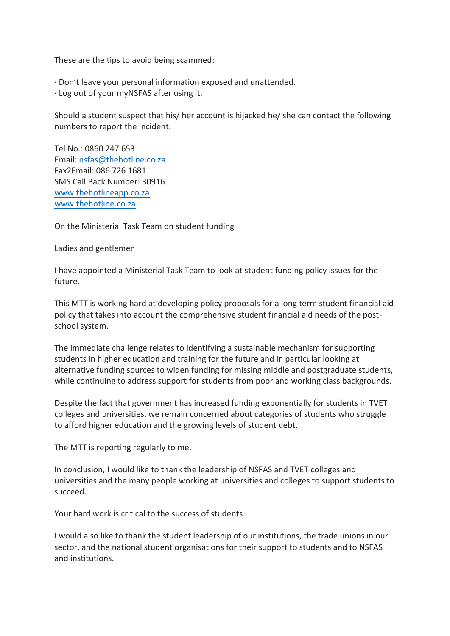These are the tips to avoid being scammed:

- · Don't leave your personal information exposed and unattended.
- · Log out of your myNSFAS after using it.

Should a student suspect that his/ her account is hijacked he/ she can contact the following numbers to report the incident.

Tel No.: 0860 247 653 Email: [nsfas@thehotline.co.za](mailto:nsfas@thehotline.co.za) Fax2Email: 086 726 1681 SMS Call Back Number: 30916 [www.thehotlineapp.co.za](http://www.thehotlineapp.co.za/) [www.thehotline.co.za](http://www.thehotline.co.za/)

On the Ministerial Task Team on student funding

Ladies and gentlemen

I have appointed a Ministerial Task Team to look at student funding policy issues for the future.

This MTT is working hard at developing policy proposals for a long term student financial aid policy that takes into account the comprehensive student financial aid needs of the postschool system.

The immediate challenge relates to identifying a sustainable mechanism for supporting students in higher education and training for the future and in particular looking at alternative funding sources to widen funding for missing middle and postgraduate students, while continuing to address support for students from poor and working class backgrounds.

Despite the fact that government has increased funding exponentially for students in TVET colleges and universities, we remain concerned about categories of students who struggle to afford higher education and the growing levels of student debt.

The MTT is reporting regularly to me.

In conclusion, I would like to thank the leadership of NSFAS and TVET colleges and universities and the many people working at universities and colleges to support students to succeed.

Your hard work is critical to the success of students.

I would also like to thank the student leadership of our institutions, the trade unions in our sector, and the national student organisations for their support to students and to NSFAS and institutions.